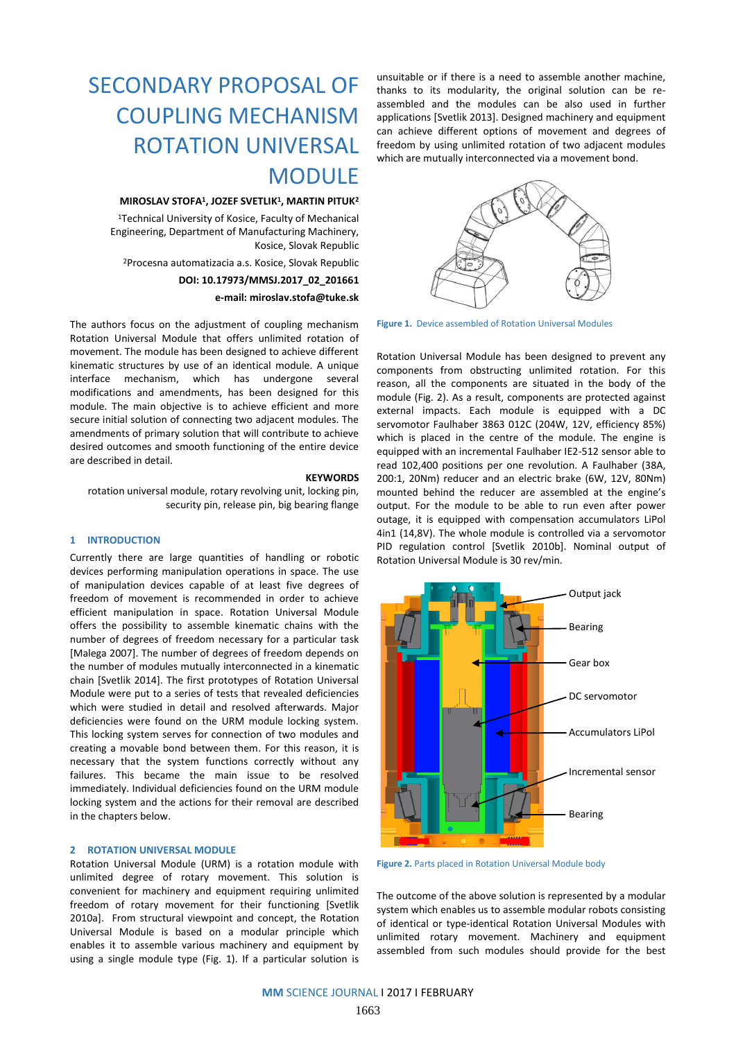# SECONDARY PROPOSAL OF COUPLING MECHANISM ROTATION UNIVERSAL MODULE

## **MIROSLAV STOFA<sup>1</sup> , JOZEF SVETLIK 1 , MARTIN PITUK<sup>2</sup>**

<sup>1</sup>Technical University of Kosice, Faculty of Mechanical Engineering, Department of Manufacturing Machinery, Kosice, Slovak Republic

<sup>2</sup>Procesna automatizacia a.s. Kosice, Slovak Republic

# **DOI: 10.17973/MMSJ.2017\_02\_201661 e-mail: [miroslav.stofa@tuke.sk](mailto:miroslav.stofa@tuke.sk)**

The authors focus on the adjustment of coupling mechanism Rotation Universal Module that offers unlimited rotation of movement. The module has been designed to achieve different kinematic structures by use of an identical module. A unique interface mechanism, which has undergone several modifications and amendments, has been designed for this module. The main objective is to achieve efficient and more secure initial solution of connecting two adjacent modules. The amendments of primary solution that will contribute to achieve desired outcomes and smooth functioning of the entire device

#### **KEYWORDS**

rotation universal module, rotary revolving unit, locking pin, security pin, release pin, big bearing flange

# **1 INTRODUCTION**

are described in detail.

Currently there are large quantities of handling or robotic devices performing manipulation operations in space. The use of manipulation devices capable of at least five degrees of freedom of movement is recommended in order to achieve efficient manipulation in space. Rotation Universal Module offers the possibility to assemble kinematic chains with the number of degrees of freedom necessary for a particular task [Malega 2007]. The number of degrees of freedom depends on the number of modules mutually interconnected in a kinematic chain [Svetlik 2014]. The first prototypes of Rotation Universal Module were put to a series of tests that revealed deficiencies which were studied in detail and resolved afterwards. Major deficiencies were found on the URM module locking system. This locking system serves for connection of two modules and creating a movable bond between them. For this reason, it is necessary that the system functions correctly without any failures. This became the main issue to be resolved immediately. Individual deficiencies found on the URM module locking system and the actions for their removal are described in the chapters below.

# **2 ROTATION UNIVERSAL MODULE**

Rotation Universal Module (URM) is a rotation module with unlimited degree of rotary movement. This solution is convenient for machinery and equipment requiring unlimited freedom of rotary movement for their functioning [Svetlik 2010a]. From structural viewpoint and concept, the Rotation Universal Module is based on a modular principle which enables it to assemble various machinery and equipment by using a single module type (Fig. 1). If a particular solution is

unsuitable or if there is a need to assemble another machine, thanks to its modularity, the original solution can be reassembled and the modules can be also used in further applications [Svetlik 2013]. Designed machinery and equipment can achieve different options of movement and degrees of freedom by using unlimited rotation of two adjacent modules which are mutually interconnected via a movement bond.



**Figure 1.** Device assembled of Rotation Universal Modules

Rotation Universal Module has been designed to prevent any components from obstructing unlimited rotation. For this reason, all the components are situated in the body of the module (Fig. 2). As a result, components are protected against external impacts. Each module is equipped with a DC servomotor Faulhaber 3863 012C (204W, 12V, efficiency 85%) which is placed in the centre of the module. The engine is equipped with an incremental Faulhaber IE2-512 sensor able to read 102,400 positions per one revolution. A Faulhaber (38A, 200:1, 20Nm) reducer and an electric brake (6W, 12V, 80Nm) mounted behind the reducer are assembled at the engine's output. For the module to be able to run even after power outage, it is equipped with compensation accumulators LiPol 4in1 (14,8V). The whole module is controlled via a servomotor PID regulation control [Svetlik 2010b]. Nominal output of Rotation Universal Module is 30 rev/min.



**Figure 2.** Parts placed in Rotation Universal Module body

The outcome of the above solution is represented by a modular system which enables us to assemble modular robots consisting of identical or type-identical Rotation Universal Modules with unlimited rotary movement. Machinery and equipment assembled from such modules should provide for the best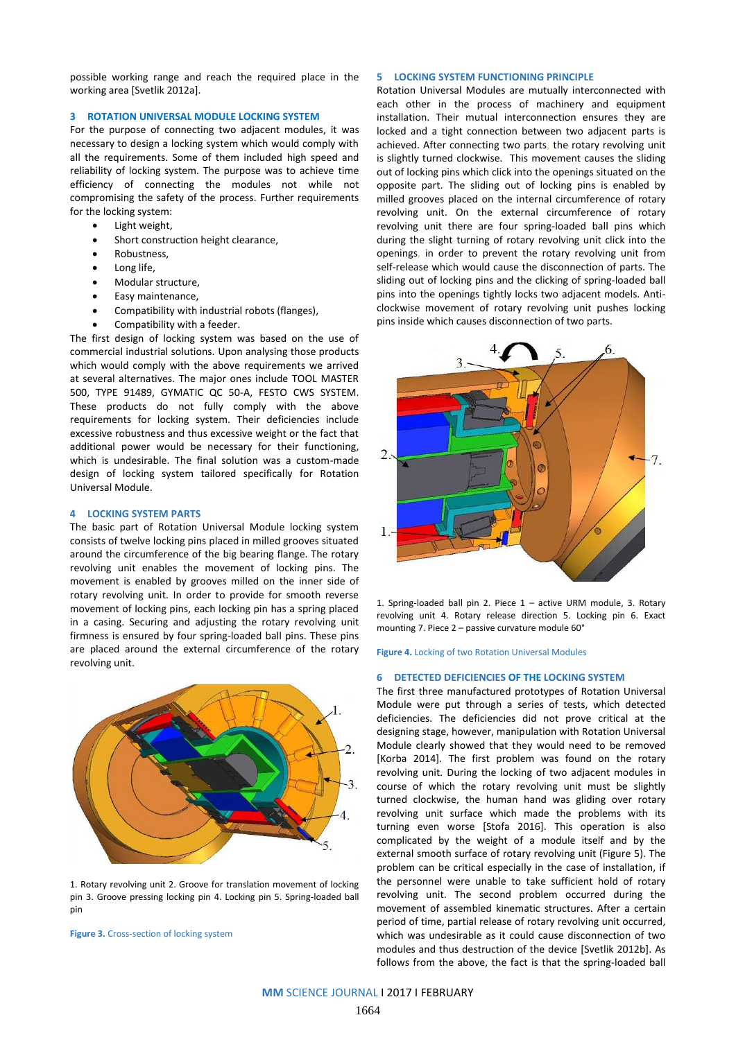possible working range and reach the required place in the working area [Svetlik 2012a].

# **3 ROTATION UNIVERSAL MODULE LOCKING SYSTEM**

For the purpose of connecting two adjacent modules, it was necessary to design a locking system which would comply with all the requirements. Some of them included high speed and reliability of locking system. The purpose was to achieve time efficiency of connecting the modules not while not compromising the safety of the process. Further requirements for the locking system:

- Light weight,
- Short construction height clearance,
- Robustness,
- Long life,
- Modular structure,
- Easy maintenance,
- Compatibility with industrial robots (flanges),
- Compatibility with a feeder.

The first design of locking system was based on the use of commercial industrial solutions. Upon analysing those products which would comply with the above requirements we arrived at several alternatives. The major ones include TOOL MASTER 500, TYPE 91489, GYMATIC QC 50-A, FESTO CWS SYSTEM. These products do not fully comply with the above requirements for locking system. Their deficiencies include excessive robustness and thus excessive weight or the fact that additional power would be necessary for their functioning, which is undesirable. The final solution was a custom-made design of locking system tailored specifically for Rotation Universal Module.

### **4 LOCKING SYSTEM PARTS**

The basic part of Rotation Universal Module locking system consists of twelve locking pins placed in milled grooves situated around the circumference of the big bearing flange. The rotary revolving unit enables the movement of locking pins. The movement is enabled by grooves milled on the inner side of rotary revolving unit. In order to provide for smooth reverse movement of locking pins, each locking pin has a spring placed in a casing. Securing and adjusting the rotary revolving unit firmness is ensured by four spring-loaded ball pins. These pins are placed around the external circumference of the rotary revolving unit.



1. Rotary revolving unit 2. Groove for translation movement of locking pin 3. Groove pressing locking pin 4. Locking pin 5. Spring-loaded ball pin

**Figure 3.** Cross-section of locking system

# **5 LOCKING SYSTEM FUNCTIONING PRINCIPLE**

Rotation Universal Modules are mutually interconnected with each other in the process of machinery and equipment installation. Their mutual interconnection ensures they are locked and a tight connection between two adjacent parts is achieved. After connecting two parts, the rotary revolving unit is slightly turned clockwise. This movement causes the sliding out of locking pins which click into the openings situated on the opposite part. The sliding out of locking pins is enabled by milled grooves placed on the internal circumference of rotary revolving unit. On the external circumference of rotary revolving unit there are four spring-loaded ball pins which during the slight turning of rotary revolving unit click into the openings, in order to prevent the rotary revolving unit from self-release which would cause the disconnection of parts. The sliding out of locking pins and the clicking of spring-loaded ball pins into the openings tightly locks two adjacent models. Anticlockwise movement of rotary revolving unit pushes locking pins inside which causes disconnection of two parts.



1. Spring-loaded ball pin 2. Piece 1 – active URM module, 3. Rotary revolving unit 4. Rotary release direction 5. Locking pin 6. Exact mounting 7. Piece 2 – passive curvature module 60°

**Figure 4.** Locking of two Rotation Universal Modules

#### **6 DETECTED DEFICIENCIES OF THE LOCKING SYSTEM**

The first three manufactured prototypes of Rotation Universal Module were put through a series of tests, which detected deficiencies. The deficiencies did not prove critical at the designing stage, however, manipulation with Rotation Universal Module clearly showed that they would need to be removed [Korba 2014]. The first problem was found on the rotary revolving unit. During the locking of two adjacent modules in course of which the rotary revolving unit must be slightly turned clockwise, the human hand was gliding over rotary revolving unit surface which made the problems with its turning even worse [Stofa 2016]. This operation is also complicated by the weight of a module itself and by the external smooth surface of rotary revolving unit (Figure 5). The problem can be critical especially in the case of installation, if the personnel were unable to take sufficient hold of rotary revolving unit. The second problem occurred during the movement of assembled kinematic structures. After a certain period of time, partial release of rotary revolving unit occurred, which was undesirable as it could cause disconnection of two modules and thus destruction of the device [Svetlik 2012b]. As follows from the above, the fact is that the spring-loaded ball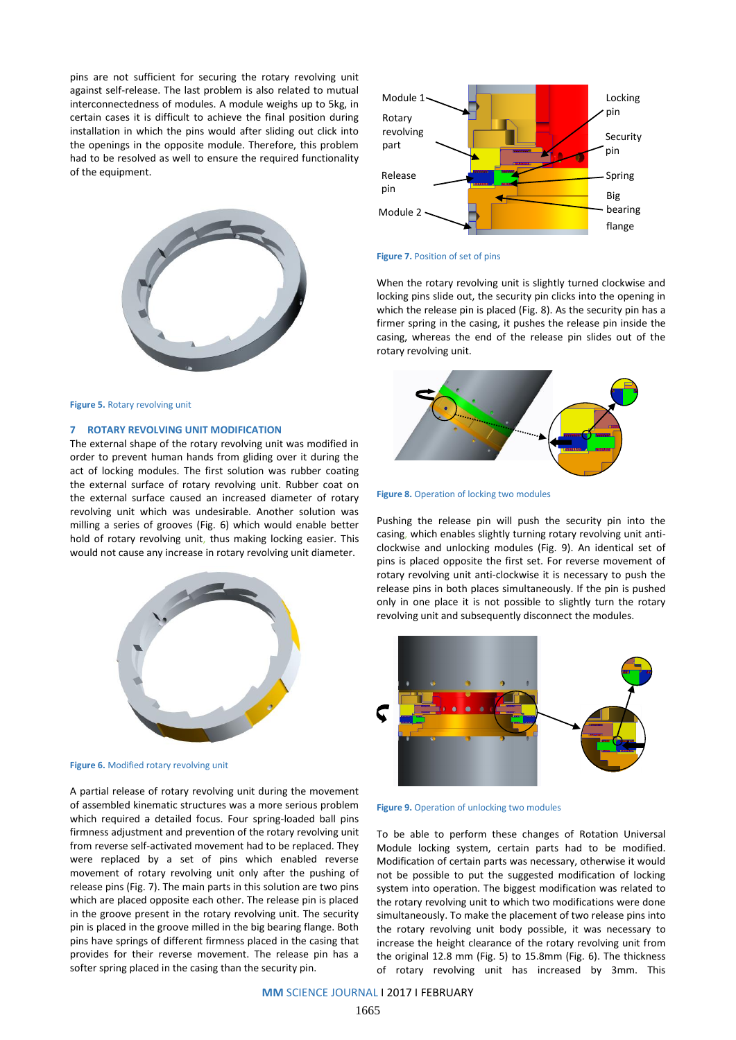pins are not sufficient for securing the rotary revolving unit against self-release. The last problem is also related to mutual interconnectedness of modules. A module weighs up to 5kg, in certain cases it is difficult to achieve the final position during installation in which the pins would after sliding out click into the openings in the opposite module. Therefore, this problem had to be resolved as well to ensure the required functionality of the equipment.



**Figure 5.** Rotary revolving unit

### **7 ROTARY REVOLVING UNIT MODIFICATION**

The external shape of the rotary revolving unit was modified in order to prevent human hands from gliding over it during the act of locking modules. The first solution was rubber coating the external surface of rotary revolving unit. Rubber coat on the external surface caused an increased diameter of rotary revolving unit which was undesirable. Another solution was milling a series of grooves (Fig. 6) which would enable better hold of rotary revolving unit, thus making locking easier. This would not cause any increase in rotary revolving unit diameter.



**Figure 6.** Modified rotary revolving unit

A partial release of rotary revolving unit during the movement of assembled kinematic structures was a more serious problem which required a detailed focus. Four spring-loaded ball pins firmness adjustment and prevention of the rotary revolving unit from reverse self-activated movement had to be replaced. They were replaced by a set of pins which enabled reverse movement of rotary revolving unit only after the pushing of release pins (Fig. 7). The main parts in this solution are two pins which are placed opposite each other. The release pin is placed in the groove present in the rotary revolving unit. The security pin is placed in the groove milled in the big bearing flange. Both pins have springs of different firmness placed in the casing that provides for their reverse movement. The release pin has a softer spring placed in the casing than the security pin.



#### **Figure 7.** Position of set of pins

When the rotary revolving unit is slightly turned clockwise and locking pins slide out, the security pin clicks into the opening in which the release pin is placed (Fig. 8). As the security pin has a firmer spring in the casing, it pushes the release pin inside the casing, whereas the end of the release pin slides out of the rotary revolving unit.



**Figure 8.** Operation of locking two modules

Pushing the release pin will push the security pin into the casing, which enables slightly turning rotary revolving unit anticlockwise and unlocking modules (Fig. 9). An identical set of pins is placed opposite the first set. For reverse movement of rotary revolving unit anti-clockwise it is necessary to push the release pins in both places simultaneously. If the pin is pushed only in one place it is not possible to slightly turn the rotary revolving unit and subsequently disconnect the modules.





To be able to perform these changes of Rotation Universal Module locking system, certain parts had to be modified. Modification of certain parts was necessary, otherwise it would not be possible to put the suggested modification of locking system into operation. The biggest modification was related to the rotary revolving unit to which two modifications were done simultaneously. To make the placement of two release pins into the rotary revolving unit body possible, it was necessary to increase the height clearance of the rotary revolving unit from the original 12.8 mm (Fig. 5) to 15.8mm (Fig. 6). The thickness of rotary revolving unit has increased by 3mm. This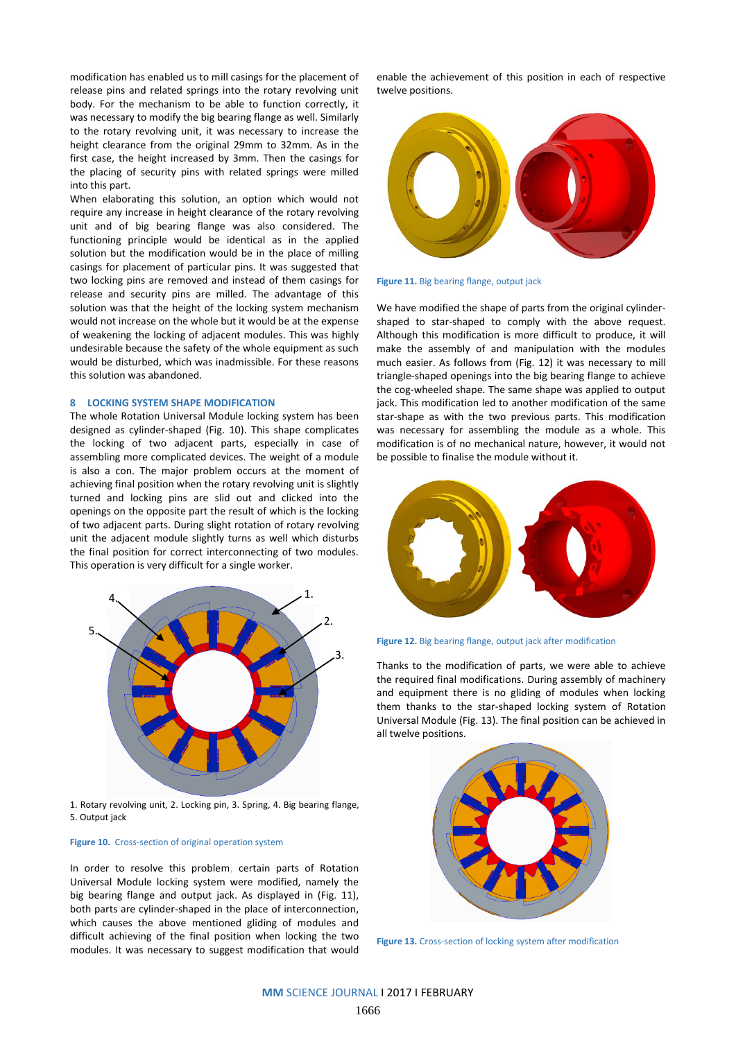modification has enabled us to mill casings for the placement of release pins and related springs into the rotary revolving unit body. For the mechanism to be able to function correctly, it was necessary to modify the big bearing flange as well. Similarly to the rotary revolving unit, it was necessary to increase the height clearance from the original 29mm to 32mm. As in the first case, the height increased by 3mm. Then the casings for the placing of security pins with related springs were milled into this part.

When elaborating this solution, an option which would not require any increase in height clearance of the rotary revolving unit and of big bearing flange was also considered. The functioning principle would be identical as in the applied solution but the modification would be in the place of milling casings for placement of particular pins. It was suggested that two locking pins are removed and instead of them casings for release and security pins are milled. The advantage of this solution was that the height of the locking system mechanism would not increase on the whole but it would be at the expense of weakening the locking of adjacent modules. This was highly undesirable because the safety of the whole equipment as such would be disturbed, which was inadmissible. For these reasons this solution was abandoned.

# **8 LOCKING SYSTEM SHAPE MODIFICATION**

The whole Rotation Universal Module locking system has been designed as cylinder-shaped (Fig. 10). This shape complicates the locking of two adjacent parts, especially in case of assembling more complicated devices. The weight of a module is also a con. The major problem occurs at the moment of achieving final position when the rotary revolving unit is slightly turned and locking pins are slid out and clicked into the openings on the opposite part the result of which is the locking of two adjacent parts. During slight rotation of rotary revolving unit the adjacent module slightly turns as well which disturbs the final position for correct interconnecting of two modules. This operation is very difficult for a single worker.



5. Output jack

#### **Figure 10.** Cross-section of original operation system

In order to resolve this problem, certain parts of Rotation Universal Module locking system were modified, namely the big bearing flange and output jack. As displayed in (Fig. 11), both parts are cylinder-shaped in the place of interconnection, which causes the above mentioned gliding of modules and difficult achieving of the final position when locking the two modules. It was necessary to suggest modification that would

enable the achievement of this position in each of respective twelve positions.



#### **Figure 11.** Big bearing flange, output jack

We have modified the shape of parts from the original cylindershaped to star-shaped to comply with the above request. Although this modification is more difficult to produce, it will make the assembly of and manipulation with the modules much easier. As follows from (Fig. 12) it was necessary to mill triangle-shaped openings into the big bearing flange to achieve the cog-wheeled shape. The same shape was applied to output jack. This modification led to another modification of the same star-shape as with the two previous parts. This modification was necessary for assembling the module as a whole. This modification is of no mechanical nature, however, it would not be possible to finalise the module without it.



**Figure 12.** Big bearing flange, output jack after modification

Thanks to the modification of parts, we were able to achieve the required final modifications. During assembly of machinery and equipment there is no gliding of modules when locking them thanks to the star-shaped locking system of Rotation Universal Module (Fig. 13). The final position can be achieved in all twelve positions.



**Figure 13.** Cross-section of locking system after modification